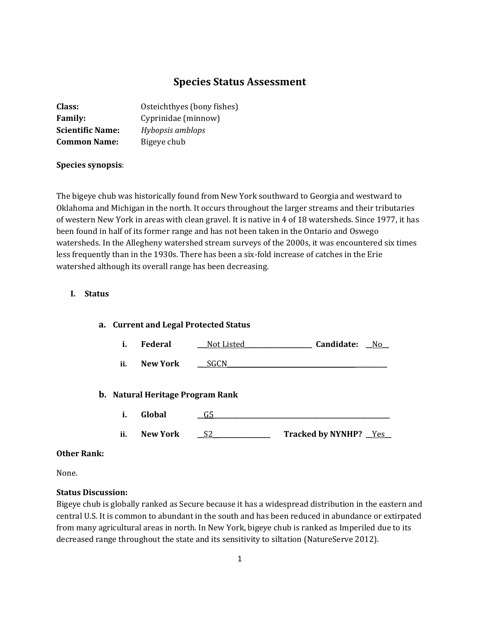# **Species Status Assessment**

| Class:                  | Osteichthyes (bony fishes) |
|-------------------------|----------------------------|
| <b>Family:</b>          | Cyprinidae (minnow)        |
| <b>Scientific Name:</b> | Hybopsis amblops           |
| <b>Common Name:</b>     | Bigeye chub                |

#### **Species synopsis**:

The bigeye chub was historically found from New York southward to Georgia and westward to Oklahoma and Michigan in the north. It occurs throughout the larger streams and their tributaries of western New York in areas with clean gravel. It is native in 4 of 18 watersheds. Since 1977, it has been found in half of its former range and has not been taken in the Ontario and Oswego watersheds. In the Allegheny watershed stream surveys of the 2000s, it was encountered six times less frequently than in the 1930s. There has been a six-fold increase of catches in the Erie watershed although its overall range has been decreasing.

#### **I. Status**

|     | a. Current and Legal Protected Status |                   |                              |
|-----|---------------------------------------|-------------------|------------------------------|
| i.  | <b>Federal</b>                        | <u>Not Listed</u> | Candidate:<br>- No           |
| ii. | New York                              | SGCN              |                              |
|     | b. Natural Heritage Program Rank      |                   |                              |
| i.  | Global                                | G5                |                              |
| ii. | New York                              |                   | <b>Tracked by NYNHP?</b> Yes |

#### **Other Rank:**

None.

#### **Status Discussion:**

Bigeye chub is globally ranked as Secure because it has a widespread distribution in the eastern and central U.S. It is common to abundant in the south and has been reduced in abundance or extirpated from many agricultural areas in north. In New York, bigeye chub is ranked as Imperiled due to its decreased range throughout the state and its sensitivity to siltation (NatureServe 2012).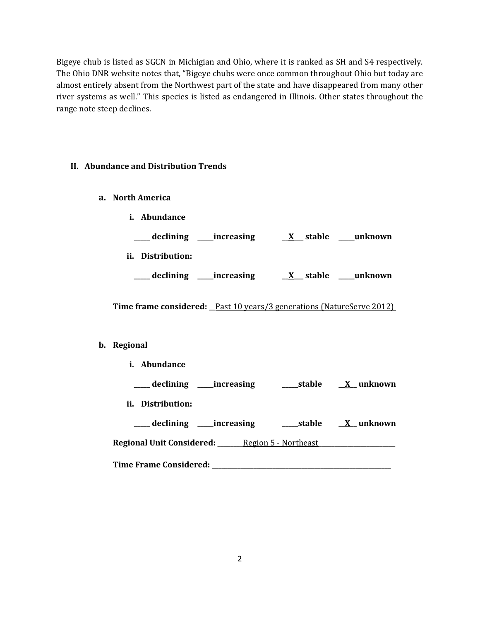Bigeye chub is listed as SGCN in Michigian and Ohio, where it is ranked as SH and S4 respectively. The Ohio DNR website notes that, "Bigeye chubs were once common throughout Ohio but today are almost entirely absent from the Northwest part of the state and have disappeared from many other river systems as well." This species is listed as endangered in Illinois. Other states throughout the range note steep declines.

#### **II. Abundance and Distribution Trends**

**a. North America**

|     | Abundance                          |             |                           |           |
|-----|------------------------------------|-------------|---------------------------|-----------|
|     | declining $\overline{\phantom{a}}$ | _increasing | __ stable<br>$\mathbf{X}$ | __unknown |
| ii. | Distribution:                      |             |                           |           |
|     | declining                          | _increasing | stable<br>$\mathbf{X}$    | unknown   |

**Time frame considered: \_\_**Past 10 years/3 generations (NatureServe 2012)

#### **b. Regional**

**i. Abundance \_\_\_\_\_ declining \_\_\_\_\_increasing \_\_\_\_\_stable \_\_X\_\_ unknown ii. Distribution: \_\_\_\_\_ declining \_\_\_\_\_increasing \_\_\_\_\_stable \_\_X\_\_ unknown Regional Unit Considered: \_\_\_\_\_\_\_\_**Region 5 - Northeast**\_\_\_\_\_\_\_\_\_\_\_\_\_\_\_\_\_\_\_\_\_\_\_\_ Time Frame Considered: \_\_\_\_\_\_\_\_\_\_\_\_\_\_\_\_\_\_\_\_\_\_\_\_\_\_\_\_\_\_\_\_\_\_\_\_\_\_\_\_\_\_\_\_\_\_\_\_\_\_\_\_\_\_\_\_**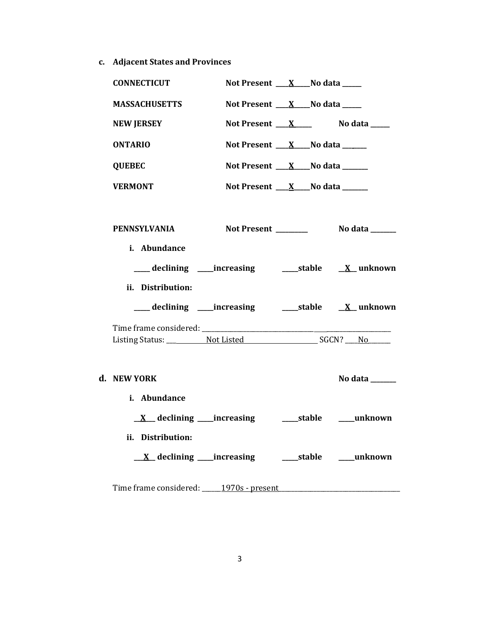**c. Adjacent States and Provinces**

| <b>CONNECTICUT</b>                                                                 |                                                         | Not Present $X$ No data ____                                        |                             |
|------------------------------------------------------------------------------------|---------------------------------------------------------|---------------------------------------------------------------------|-----------------------------|
| <b>MASSACHUSETTS</b>                                                               |                                                         | Not Present $X$ No data $Z$                                         |                             |
| <b>NEW JERSEY</b>                                                                  |                                                         |                                                                     | Not Present $X$ No data $X$ |
| <b>ONTARIO</b>                                                                     |                                                         | Not Present $X_N$ No data $X_N$                                     |                             |
| <b>QUEBEC</b>                                                                      |                                                         | Not Present $X$ No data $X$                                         |                             |
| <b>VERMONT</b>                                                                     |                                                         | Not Present $\underline{\quad X \quad}$ No data $\underline{\quad}$ |                             |
| PENNSYLVANIA                                                                       |                                                         |                                                                     |                             |
| i. Abundance<br>ii. Distribution:                                                  | declining ____increasing ______stable <u>X</u> _unknown |                                                                     |                             |
|                                                                                    |                                                         |                                                                     |                             |
|                                                                                    |                                                         |                                                                     |                             |
| d. NEW YORK                                                                        |                                                         |                                                                     | No data ______              |
| i. Abundance                                                                       |                                                         |                                                                     |                             |
|                                                                                    |                                                         |                                                                     |                             |
| ii. Distribution:                                                                  |                                                         |                                                                     |                             |
|                                                                                    |                                                         |                                                                     |                             |
| Time frame considered: 1970s - present 1970s - promotion and the frame considered: |                                                         |                                                                     |                             |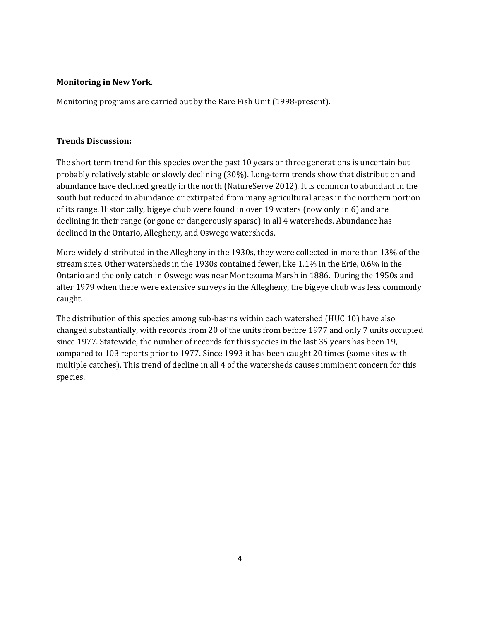### **Monitoring in New York.**

Monitoring programs are carried out by the Rare Fish Unit (1998-present).

# **Trends Discussion:**

The short term trend for this species over the past 10 years or three generations is uncertain but probably relatively stable or slowly declining (30%). Long-term trends show that distribution and abundance have declined greatly in the north (NatureServe 2012). It is common to abundant in the south but reduced in abundance or extirpated from many agricultural areas in the northern portion of its range. Historically, bigeye chub were found in over 19 waters (now only in 6) and are declining in their range (or gone or dangerously sparse) in all 4 watersheds. Abundance has declined in the Ontario, Allegheny, and Oswego watersheds.

More widely distributed in the Allegheny in the 1930s, they were collected in more than 13% of the stream sites. Other watersheds in the 1930s contained fewer, like 1.1% in the Erie, 0.6% in the Ontario and the only catch in Oswego was near Montezuma Marsh in 1886. During the 1950s and after 1979 when there were extensive surveys in the Allegheny, the bigeye chub was less commonly caught.

The distribution of this species among sub-basins within each watershed (HUC 10) have also changed substantially, with records from 20 of the units from before 1977 and only 7 units occupied since 1977. Statewide, the number of records for this species in the last 35 years has been 19, compared to 103 reports prior to 1977. Since 1993 it has been caught 20 times (some sites with multiple catches). This trend of decline in all 4 of the watersheds causes imminent concern for this species.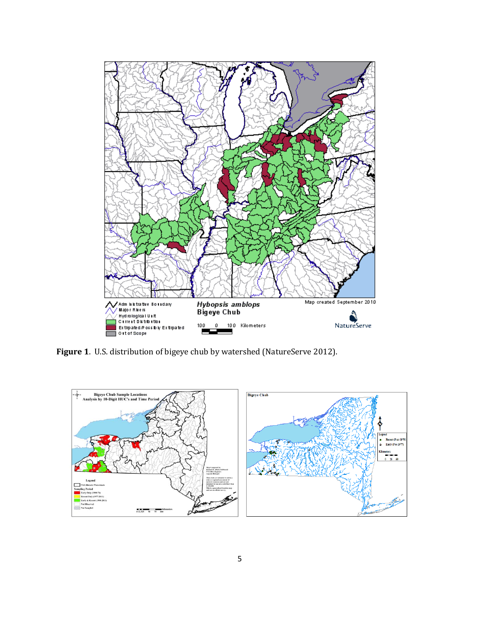

**Figure 1**. U.S. distribution of bigeye chub by watershed (NatureServe 2012).

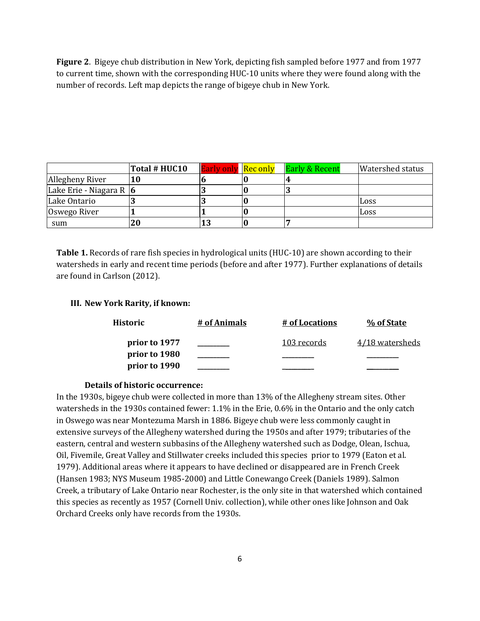**Figure 2**. Bigeye chub distribution in New York, depicting fish sampled before 1977 and from 1977 to current time, shown with the corresponding HUC-10 units where they were found along with the number of records. Left map depicts the range of bigeye chub in New York.

|                             | Total # HUC10 | <b>Early only Rec only</b> | <b>Early &amp; Recent</b> | <b>Watershed status</b> |
|-----------------------------|---------------|----------------------------|---------------------------|-------------------------|
| Allegheny River             |               |                            |                           |                         |
| Lake Erie - Niagara R $ 6 $ |               |                            | n.)                       |                         |
| Lake Ontario                |               |                            |                           | Loss                    |
| Oswego River                |               |                            |                           | Loss                    |
| sum                         |               |                            |                           |                         |

**Table 1.** Records of rare fish species in hydrological units (HUC-10) are shown according to their watersheds in early and recent time periods (before and after 1977). Further explanations of details are found in Carlson (2012).

#### **III. New York Rarity, if known:**

| Historic      | # of Animals | <u># of Locations</u> | % of State      |
|---------------|--------------|-----------------------|-----------------|
| prior to 1977 |              | 103 records           | 4/18 watersheds |
| prior to 1980 |              |                       |                 |
| prior to 1990 |              |                       |                 |

#### **Details of historic occurrence:**

In the 1930s, bigeye chub were collected in more than 13% of the Allegheny stream sites. Other watersheds in the 1930s contained fewer: 1.1% in the Erie, 0.6% in the Ontario and the only catch in Oswego was near Montezuma Marsh in 1886. Bigeye chub were less commonly caught in extensive surveys of the Allegheny watershed during the 1950s and after 1979; tributaries of the eastern, central and western subbasins of the Allegheny watershed such as Dodge, Olean, Ischua, Oil, Fivemile, Great Valley and Stillwater creeks included this species prior to 1979 (Eaton et al. 1979). Additional areas where it appears to have declined or disappeared are in French Creek (Hansen 1983; NYS Museum 1985-2000) and Little Conewango Creek (Daniels 1989). Salmon Creek, a tributary of Lake Ontario near Rochester, is the only site in that watershed which contained this species as recently as 1957 (Cornell Univ. collection), while other ones like Johnson and Oak Orchard Creeks only have records from the 1930s.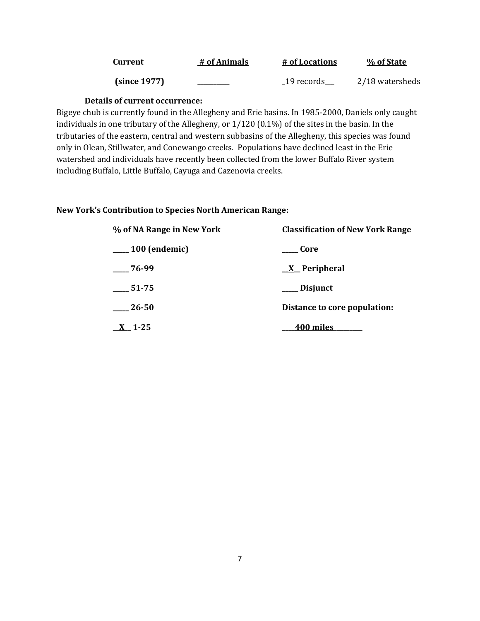| Current      | # of Animals | # of Locations | % of State      |
|--------------|--------------|----------------|-----------------|
| (since 1977) |              | 19 records     | 2/18 watersheds |

### **Details of current occurrence:**

Bigeye chub is currently found in the Allegheny and Erie basins. In 1985-2000, Daniels only caught individuals in one tributary of the Allegheny, or 1/120 (0.1%) of the sites in the basin. In the tributaries of the eastern, central and western subbasins of the Allegheny, this species was found only in Olean, Stillwater, and Conewango creeks. Populations have declined least in the Erie watershed and individuals have recently been collected from the lower Buffalo River system including Buffalo, Little Buffalo, Cayuga and Cazenovia creeks.

#### **New York's Contribution to Species North American Range:**

| % of NA Range in New York | <b>Classification of New York Range</b> |  |  |
|---------------------------|-----------------------------------------|--|--|
| $\frac{100}{2}$ (endemic) | Core                                    |  |  |
| $-76-99$                  | $\underline{X}$ Peripheral              |  |  |
| 51-75                     | ___ Disjunct                            |  |  |
| 26-50                     | Distance to core population:            |  |  |
| $X$ 1-25                  | <b>400 miles</b>                        |  |  |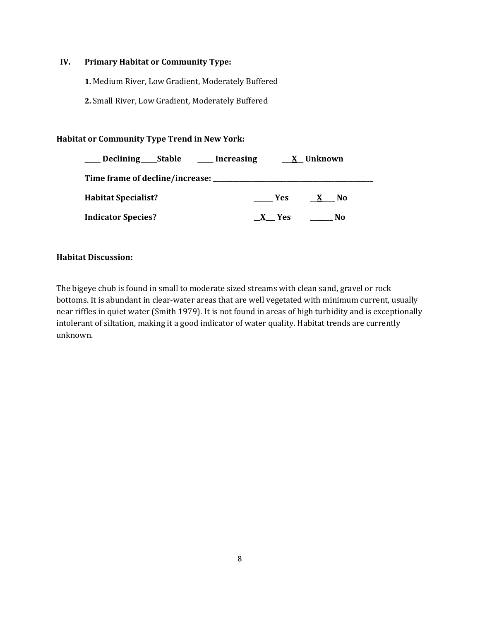# **IV. Primary Habitat or Community Type:**

**1.** Medium River, Low Gradient, Moderately Buffered

**2.** Small River, Low Gradient, Moderately Buffered

# **Habitat or Community Type Trend in New York:**

| Declining ______ Stable    | ____ Increasing |            | X Unknown |  |
|----------------------------|-----------------|------------|-----------|--|
|                            |                 |            |           |  |
| <b>Habitat Specialist?</b> |                 | <b>Yes</b> | No.       |  |
| <b>Indicator Species?</b>  |                 | Yes        | No        |  |

# **Habitat Discussion:**

The bigeye chub is found in small to moderate sized streams with clean sand, gravel or rock bottoms. It is abundant in clear-water areas that are well vegetated with minimum current, usually near riffles in quiet water (Smith 1979). It is not found in areas of high turbidity and is exceptionally intolerant of siltation, making it a good indicator of water quality. Habitat trends are currently unknown.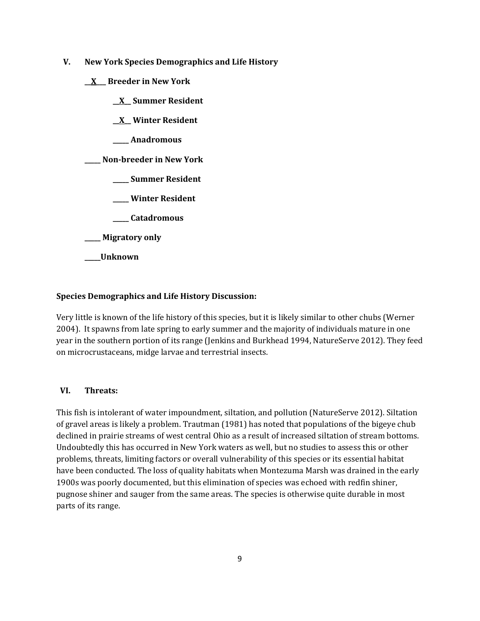- **V. New York Species Demographics and Life History**
	- **\_\_X\_\_\_ Breeder in New York**
		- **\_\_X\_\_ Summer Resident**
		- **\_\_X\_\_ Winter Resident**
		- **\_\_\_\_\_ Anadromous**

# **\_\_\_\_\_ Non-breeder in New York**

- **\_\_\_\_\_ Summer Resident**
- **\_\_\_\_\_ Winter Resident**
- **\_\_\_\_\_ Catadromous**
- **\_\_\_\_\_ Migratory only**
- **\_\_\_\_\_Unknown**

# **Species Demographics and Life History Discussion:**

Very little is known of the life history of this species, but it is likely similar to other chubs (Werner 2004). It spawns from late spring to early summer and the majority of individuals mature in one year in the southern portion of its range (Jenkins and Burkhead 1994, NatureServe 2012). They feed on microcrustaceans, midge larvae and terrestrial insects.

# **VI. Threats:**

This fish is intolerant of water impoundment, siltation, and pollution (NatureServe 2012). Siltation of gravel areas is likely a problem. Trautman (1981) has noted that populations of the bigeye chub declined in prairie streams of west central Ohio as a result of increased siltation of stream bottoms. Undoubtedly this has occurred in New York waters as well, but no studies to assess this or other problems, threats, limiting factors or overall vulnerability of this species or its essential habitat have been conducted. The loss of quality habitats when Montezuma Marsh was drained in the early 1900s was poorly documented, but this elimination of species was echoed with redfin shiner, pugnose shiner and sauger from the same areas. The species is otherwise quite durable in most parts of its range.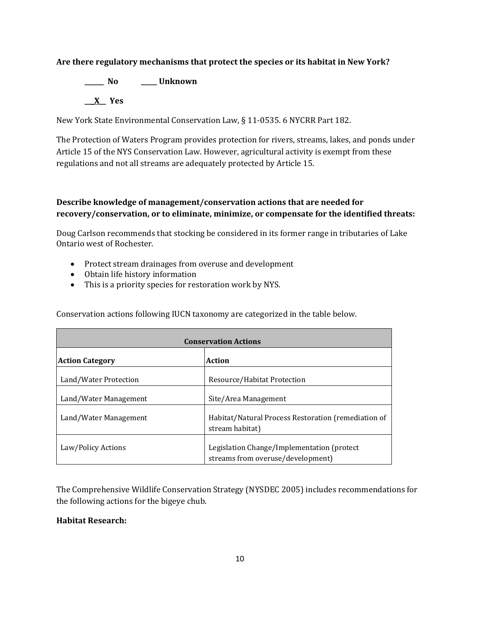# **Are there regulatory mechanisms that protect the species or its habitat in New York?**

**\_\_\_\_\_\_ No \_\_\_\_\_ Unknown \_\_\_X\_\_ Yes** 

New York State Environmental Conservation Law, § 11-0535. 6 NYCRR Part 182.

The Protection of Waters Program provides protection for rivers, streams, lakes, and ponds under Article 15 of the NYS Conservation Law. However, agricultural activity is exempt from these regulations and not all streams are adequately protected by Article 15.

# **Describe knowledge of management/conservation actions that are needed for recovery/conservation, or to eliminate, minimize, or compensate for the identified threats:**

Doug Carlson recommends that stocking be considered in its former range in tributaries of Lake Ontario west of Rochester.

- Protect stream drainages from overuse and development
- Obtain life history information
- This is a priority species for restoration work by NYS.

Conservation actions following IUCN taxonomy are categorized in the table below.

| <b>Conservation Actions</b> |                                                                                  |  |
|-----------------------------|----------------------------------------------------------------------------------|--|
| <b>Action Category</b>      | <b>Action</b>                                                                    |  |
| Land/Water Protection       | Resource/Habitat Protection                                                      |  |
| Land/Water Management       | Site/Area Management                                                             |  |
| Land/Water Management       | Habitat/Natural Process Restoration (remediation of<br>stream habitat)           |  |
| Law/Policy Actions          | Legislation Change/Implementation (protect)<br>streams from overuse/development) |  |

The Comprehensive Wildlife Conservation Strategy (NYSDEC 2005) includes recommendations for the following actions for the bigeye chub.

# **Habitat Research:**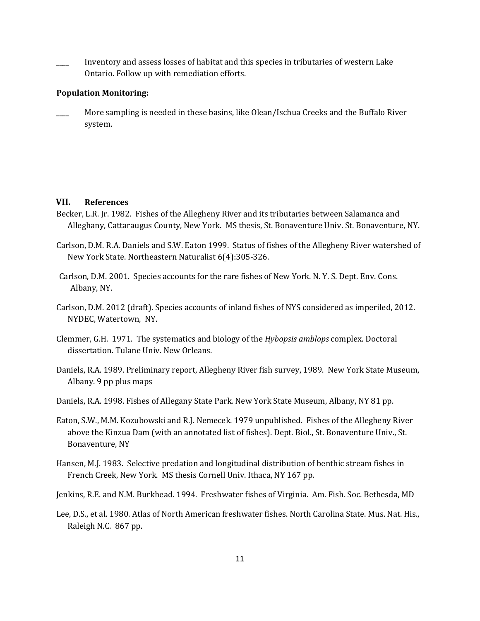\_\_\_\_ Inventory and assess losses of habitat and this species in tributaries of western Lake Ontario. Follow up with remediation efforts.

#### **Population Monitoring:**

More sampling is needed in these basins, like Olean/Ischua Creeks and the Buffalo River system.

#### **VII. References**

- Becker, L.R. Jr. 1982. Fishes of the Allegheny River and its tributaries between Salamanca and Alleghany, Cattaraugus County, New York. MS thesis, St. Bonaventure Univ. St. Bonaventure, NY.
- Carlson, D.M. R.A. Daniels and S.W. Eaton 1999. Status of fishes of the Allegheny River watershed of New York State. Northeastern Naturalist 6(4):305-326.
- Carlson, D.M. 2001. Species accounts for the rare fishes of New York. N. Y. S. Dept. Env. Cons. Albany, NY.
- Carlson, D.M. 2012 (draft). Species accounts of inland fishes of NYS considered as imperiled, 2012. NYDEC, Watertown, NY.
- Clemmer, G.H. 1971. The systematics and biology of the *Hybopsis amblops* complex. Doctoral dissertation. Tulane Univ. New Orleans.
- Daniels, R.A. 1989. Preliminary report, Allegheny River fish survey, 1989. New York State Museum, Albany. 9 pp plus maps
- Daniels, R.A. 1998. Fishes of Allegany State Park. New York State Museum, Albany, NY 81 pp.
- Eaton, S.W., M.M. Kozubowski and R.J. Nemecek. 1979 unpublished. Fishes of the Allegheny River above the Kinzua Dam (with an annotated list of fishes). Dept. Biol., St. Bonaventure Univ., St. Bonaventure, NY
- Hansen, M.J. 1983. Selective predation and longitudinal distribution of benthic stream fishes in French Creek, New York. MS thesis Cornell Univ. Ithaca, NY 167 pp.
- Jenkins, R.E. and N.M. Burkhead. 1994. Freshwater fishes of Virginia. Am. Fish. Soc. Bethesda, MD
- Lee, D.S., et al. 1980. Atlas of North American freshwater fishes. North Carolina State. Mus. Nat. His., Raleigh N.C. 867 pp.